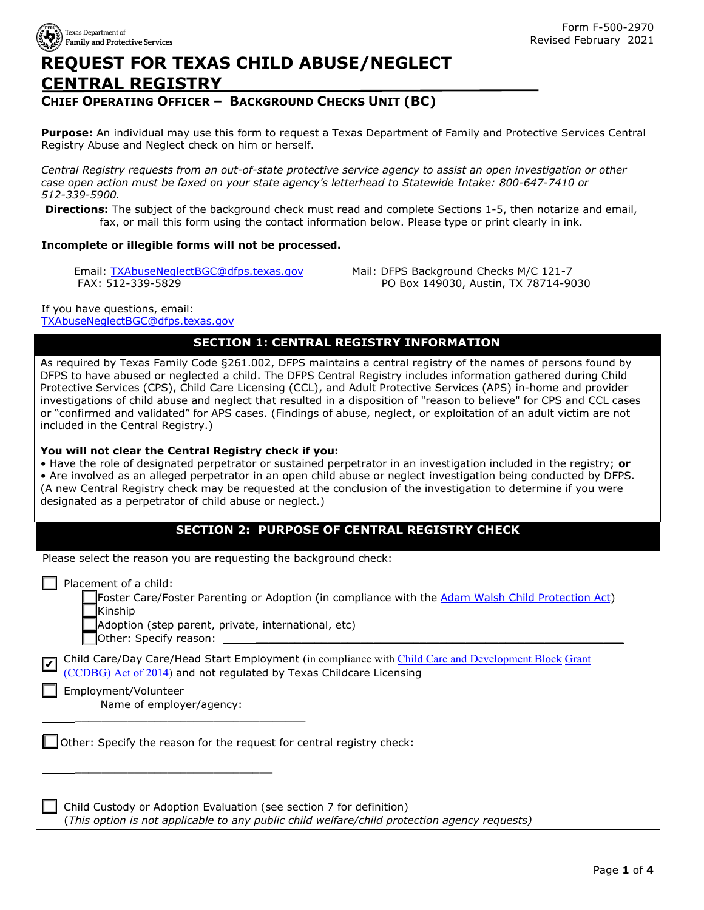

# **REQUEST FOR TEXAS CHILD ABUSE/NEGLECT CENTRAL REGISTRY**

### **CHIEF OPERATING OFFICER – BACKGROUND CHECKS UNIT (BC)**

**Purpose:** An individual may use this form to request a Texas Department of Family and Protective Services Central Registry Abuse and Neglect check on him or herself.

*Central Registry requests from an out-of-state protective service agency to assist an open investigation or other case open action must be faxed on your state agency's letterhead to Statewide Intake: 800-647-7410 or 512-339-5900.*

**Directions:** The subject of the background check must read and complete Sections 1-5, then notarize and email, fax, or mail this form using the contact information below. Please type or print clearly in ink.

#### **Incomplete or illegible forms will not be processed.**

Email: [TXAbuseNeglectBGC@dfps.](mailto:TXAbuseNeglectBGC@dfps.texas.gov)texas.gov FAX: 512-339-5829

Mail: DFPS Background Checks M/C 121-7 PO Box 149030, Austin, TX 78714-9030

If you have questions, email: [TXAbuseNeglectBGC@dfps.](mailto:TXAbuseNeglectBGC@dfps.texas.gov)texas.gov

### **SECTION 1: CENTRAL REGISTRY INFORMATION**

As required by Texas Family Code §261.002, DFPS maintains a central registry of the names of persons found by DFPS to have abused or neglected a child. The DFPS Central Registry includes information gathered during Child Protective Services (CPS), Child Care Licensing (CCL), and Adult Protective Services (APS) in-home and provider investigations of child abuse and neglect that resulted in a disposition of "reason to believe" for CPS and CCL cases or "confirmed and validated" for APS cases. (Findings of abuse, neglect, or exploitation of an adult victim are not included in the Central Registry.)

#### **You will not clear the Central Registry check if you:**

• Have the role of designated perpetrator or sustained perpetrator in an investigation included in the registry; **or** • Are involved as an alleged perpetrator in an open child abuse or neglect investigation being conducted by DFPS. (A new Central Registry check may be requested at the conclusion of the investigation to determine if you were designated as a perpetrator of child abuse or neglect.)

### **SECTION 2: PURPOSE OF CENTRAL REGISTRY CHECK**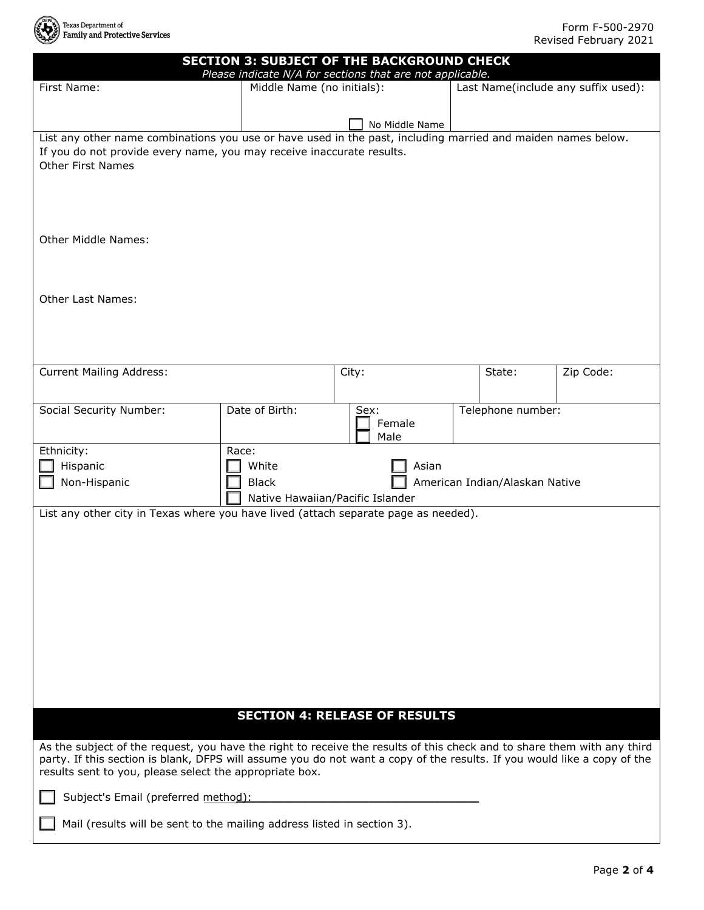

|                                                                                                                          | <b>SECTION 3: SUBJECT OF THE BACKGROUND CHECK</b>         |                                      |                                |                                     |  |
|--------------------------------------------------------------------------------------------------------------------------|-----------------------------------------------------------|--------------------------------------|--------------------------------|-------------------------------------|--|
| First Name:                                                                                                              | Please indicate N/A for sections that are not applicable. |                                      |                                |                                     |  |
|                                                                                                                          |                                                           | Middle Name (no initials):           |                                | Last Name(include any suffix used): |  |
|                                                                                                                          |                                                           |                                      |                                |                                     |  |
| List any other name combinations you use or have used in the past, including married and maiden names below.             |                                                           | No Middle Name                       |                                |                                     |  |
| If you do not provide every name, you may receive inaccurate results.                                                    |                                                           |                                      |                                |                                     |  |
| <b>Other First Names</b>                                                                                                 |                                                           |                                      |                                |                                     |  |
|                                                                                                                          |                                                           |                                      |                                |                                     |  |
|                                                                                                                          |                                                           |                                      |                                |                                     |  |
|                                                                                                                          |                                                           |                                      |                                |                                     |  |
|                                                                                                                          |                                                           |                                      |                                |                                     |  |
| <b>Other Middle Names:</b>                                                                                               |                                                           |                                      |                                |                                     |  |
|                                                                                                                          |                                                           |                                      |                                |                                     |  |
|                                                                                                                          |                                                           |                                      |                                |                                     |  |
|                                                                                                                          |                                                           |                                      |                                |                                     |  |
| Other Last Names:                                                                                                        |                                                           |                                      |                                |                                     |  |
|                                                                                                                          |                                                           |                                      |                                |                                     |  |
|                                                                                                                          |                                                           |                                      |                                |                                     |  |
|                                                                                                                          |                                                           |                                      |                                |                                     |  |
| <b>Current Mailing Address:</b>                                                                                          |                                                           | City:                                | State:                         | Zip Code:                           |  |
|                                                                                                                          |                                                           |                                      |                                |                                     |  |
|                                                                                                                          |                                                           |                                      |                                |                                     |  |
| Social Security Number:                                                                                                  | Date of Birth:                                            | Sex:                                 | Telephone number:              |                                     |  |
|                                                                                                                          |                                                           | Female                               |                                |                                     |  |
| Ethnicity:                                                                                                               | Race:                                                     | Male                                 |                                |                                     |  |
| Hispanic                                                                                                                 | White                                                     | Asian                                |                                |                                     |  |
| Non-Hispanic                                                                                                             | <b>Black</b>                                              |                                      | American Indian/Alaskan Native |                                     |  |
|                                                                                                                          | Native Hawaiian/Pacific Islander                          |                                      |                                |                                     |  |
| List any other city in Texas where you have lived (attach separate page as needed).                                      |                                                           |                                      |                                |                                     |  |
|                                                                                                                          |                                                           |                                      |                                |                                     |  |
|                                                                                                                          |                                                           |                                      |                                |                                     |  |
|                                                                                                                          |                                                           |                                      |                                |                                     |  |
|                                                                                                                          |                                                           |                                      |                                |                                     |  |
|                                                                                                                          |                                                           |                                      |                                |                                     |  |
|                                                                                                                          |                                                           |                                      |                                |                                     |  |
|                                                                                                                          |                                                           |                                      |                                |                                     |  |
|                                                                                                                          |                                                           |                                      |                                |                                     |  |
|                                                                                                                          |                                                           |                                      |                                |                                     |  |
|                                                                                                                          |                                                           |                                      |                                |                                     |  |
|                                                                                                                          |                                                           |                                      |                                |                                     |  |
|                                                                                                                          |                                                           |                                      |                                |                                     |  |
|                                                                                                                          |                                                           | <b>SECTION 4: RELEASE OF RESULTS</b> |                                |                                     |  |
|                                                                                                                          |                                                           |                                      |                                |                                     |  |
| As the subject of the request, you have the right to receive the results of this check and to share them with any third  |                                                           |                                      |                                |                                     |  |
| party. If this section is blank, DFPS will assume you do not want a copy of the results. If you would like a copy of the |                                                           |                                      |                                |                                     |  |
| results sent to you, please select the appropriate box.                                                                  |                                                           |                                      |                                |                                     |  |
| Subject's Email (preferred method):                                                                                      |                                                           |                                      |                                |                                     |  |
|                                                                                                                          |                                                           |                                      |                                |                                     |  |
| Mail (results will be sent to the mailing address listed in section 3).                                                  |                                                           |                                      |                                |                                     |  |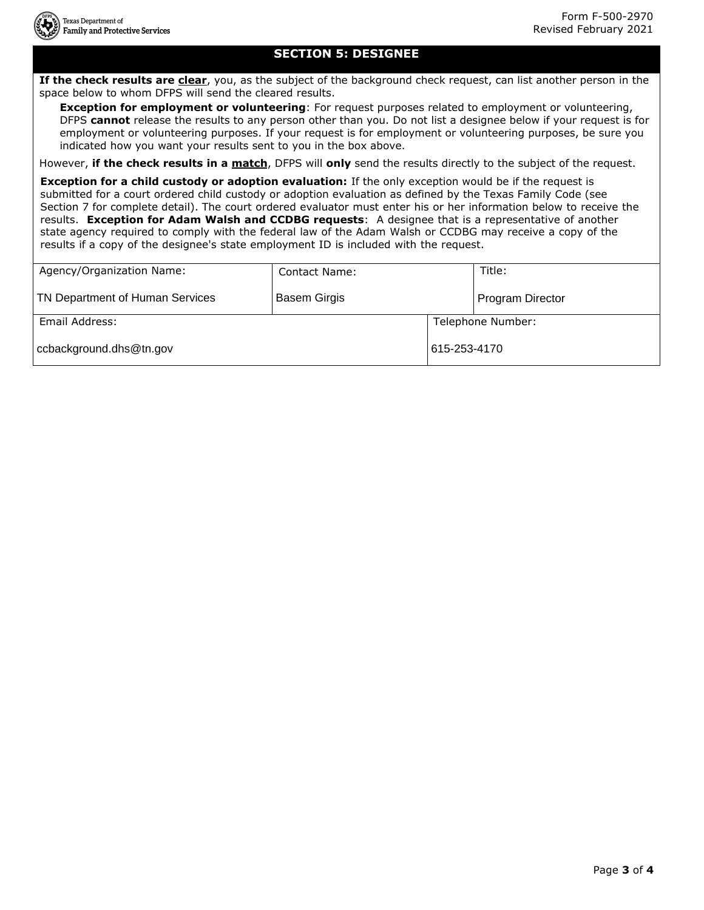### **SECTION 5: DESIGNEE**

**If the check results are clear**, you, as the subject of the background check request, can list another person in the space below to whom DFPS will send the cleared results.

**Exception for employment or volunteering**: For request purposes related to employment or volunteering, DFPS **cannot** release the results to any person other than you. Do not list a designee below if your request is for employment or volunteering purposes. If your request is for employment or volunteering purposes, be sure you indicated how you want your results sent to you in the box above.

However, **if the check results in a match**, DFPS will **only** send the results directly to the subject of the request.

**Exception for a child custody or adoption evaluation:** If the only exception would be if the request is submitted for a court ordered child custody or adoption evaluation as defined by the Texas Family Code (see Section 7 for complete detail). The court ordered evaluator must enter his or her information below to receive the results. **Exception for Adam Walsh and CCDBG requests**: A designee that is a representative of another state agency required to comply with the federal law of the Adam Walsh or CCDBG may receive a copy of the results if a copy of the designee's state employment ID is included with the request.

| Agency/Organization Name:       | Contact Name:       |              | Title:            |
|---------------------------------|---------------------|--------------|-------------------|
| TN Department of Human Services | <b>Basem Girgis</b> |              | Program Director  |
| Email Address:                  |                     |              | Telephone Number: |
| ccbackground.dhs@tn.gov         |                     | 615-253-4170 |                   |